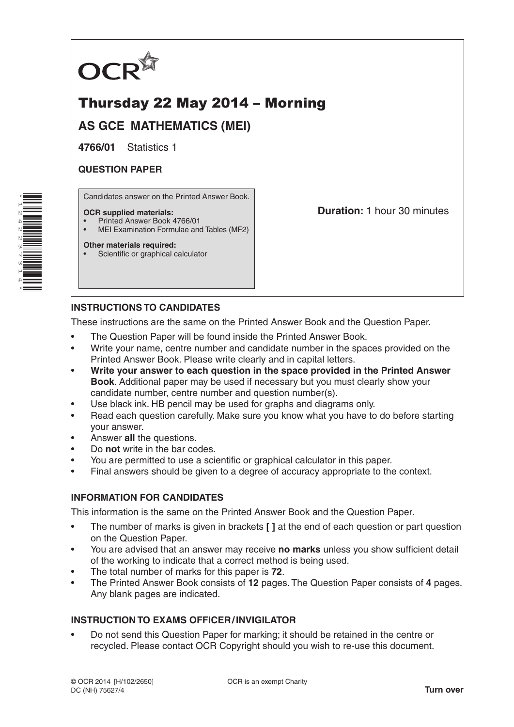

# Thursday 22 May 2014 – Morning

**AS GCE MATHEMATICS (MEI)**

**4766/01** Statistics 1

### **QUESTION PAPER**

Candidates answer on the Printed Answer Book.

#### **OCR supplied materials:**

- Printed Answer Book 4766/01
- MEI Examination Formulae and Tables (MF2)

### **Other materials required:**

Scientific or graphical calculator

**Duration:** 1 hour 30 minutes

## **INSTRUCTIONS TO CANDIDATES**

These instructions are the same on the Printed Answer Book and the Question Paper.

- The Question Paper will be found inside the Printed Answer Book.
- Write your name, centre number and candidate number in the spaces provided on the Printed Answer Book. Please write clearly and in capital letters.
- **Write your answer to each question in the space provided in the Printed Answer Book**. Additional paper may be used if necessary but you must clearly show your candidate number, centre number and question number(s).
- Use black ink. HB pencil may be used for graphs and diagrams only.
- Read each question carefully. Make sure you know what you have to do before starting your answer.
- Answer **all** the questions.
- Do **not** write in the bar codes.
- You are permitted to use a scientific or graphical calculator in this paper.
- Final answers should be given to a degree of accuracy appropriate to the context.

### **INFORMATION FOR CANDIDATES**

This information is the same on the Printed Answer Book and the Question Paper.

- The number of marks is given in brackets **[ ]** at the end of each question or part question on the Question Paper.
- You are advised that an answer may receive **no marks** unless you show sufficient detail of the working to indicate that a correct method is being used.
- The total number of marks for this paper is **72**.
- The Printed Answer Book consists of **12** pages. The Question Paper consists of **4** pages. Any blank pages are indicated.

### **INSTRUCTION TO EXAMS OFFICER/INVIGILATOR**

• Do not send this Question Paper for marking; it should be retained in the centre or recycled. Please contact OCR Copyright should you wish to re-use this document.

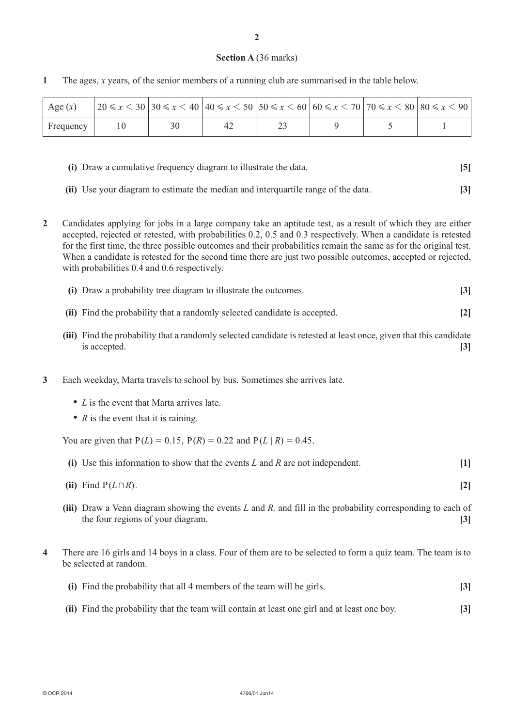#### **Section A** (36 marks)

| Age $(x)$     |    |    |  | $ 20 \le x \le 30 30 \le x \le 40 40 \le x \le 50 50 \le x \le 60 60 \le x \le 70 70 \le x \le 80 80 \le x \le 90 $ |  |
|---------------|----|----|--|---------------------------------------------------------------------------------------------------------------------|--|
| $F$ Frequency | 10 | 42 |  |                                                                                                                     |  |

**1** The ages, *x* years, of the senior members of a running club are summarised in the table below.

- **(i)** Draw a cumulative frequency diagram to illustrate the data. **[5]**
- **(ii)** Use your diagram to estimate the median and interquartile range of the data. **[3]**
- **2** Candidates applying for jobs in a large company take an aptitude test, as a result of which they are either accepted, rejected or retested, with probabilities 0.2, 0.5 and 0.3 respectively. When a candidate is retested for the first time, the three possible outcomes and their probabilities remain the same as for the original test. When a candidate is retested for the second time there are just two possible outcomes, accepted or rejected, with probabilities 0.4 and 0.6 respectively.
	- **(i)** Draw a probability tree diagram to illustrate the outcomes. **[3]**
	- **(ii)** Find the probability that a randomly selected candidate is accepted. **[2]**
	- **(iii)** Find the probability that a randomly selected candidate is retested at least once, given that this candidate is accepted. **[3]**
- **3** Each weekday, Marta travels to school by bus. Sometimes she arrives late.
	- *L* is the event that Marta arrives late.
	- *R* is the event that it is raining.

You are given that  $P(L) = 0.15$ ,  $P(R) = 0.22$  and  $P(L | R) = 0.45$ .

- **(i)** Use this information to show that the events *L* and *R* are not independent. **[1]**
- **(ii)** Find  $P(L \cap R)$ . **[2]**
- **(iii)** Draw a Venn diagram showing the events *L* and *R,* and fill in the probability corresponding to each of the four regions of your diagram. **[3]**
- **4** There are 16 girls and 14 boys in a class. Four of them are to be selected to form a quiz team. The team is to be selected at random.

| (i) Find the probability that all 4 members of the team will be girls.                       |                  |  |  |
|----------------------------------------------------------------------------------------------|------------------|--|--|
| (ii) Find the probability that the team will contain at least one girl and at least one boy. | $\left 3\right $ |  |  |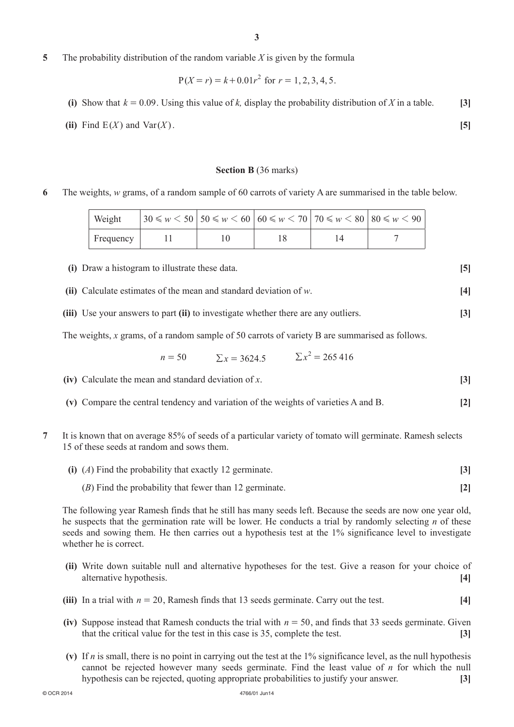- **(iii)** In a trial with *n* = 20, Ramesh finds that 13 seeds germinate. Carry out the test. **[4]**
- **(iv)** Suppose instead that Ramesh conducts the trial with  $n = 50$ , and finds that 33 seeds germinate. Given that the critical value for the test in this case is 35, complete the test. **[3]**
- **(v)** If *n* is small, there is no point in carrying out the test at the 1% significance level, as the null hypothesis cannot be rejected however many seeds germinate. Find the least value of *n* for which the null hypothesis can be rejected, quoting appropriate probabilities to justify your answer. **[3]**

**5** The probability distribution of the random variable *X* is given by the formula

$$
P(X = r) = k + 0.01r^2
$$
 for  $r = 1, 2, 3, 4, 5$ .

- (i) Show that  $k = 0.09$ . Using this value of k, display the probability distribution of X in a table. [3]
- (ii) Find  $E(X)$  and  $Var(X)$ . [5]

#### **Section B** (36 marks)

**6** The weights, *w* grams, of a random sample of 60 carrots of variety A are summarised in the table below.

| Weight    |  | $30 \leq w \leq 50$   $50 \leq w \leq 60$   $60 \leq w \leq 70$   $70 \leq w \leq 80$   $80 \leq w \leq 90$ |  |
|-----------|--|-------------------------------------------------------------------------------------------------------------|--|
| Frequency |  |                                                                                                             |  |

- **(i)** Draw a histogram to illustrate these data. **[5]**
- **(ii)** Calculate estimates of the mean and standard deviation of *w*. **[4]**
- **(iii)** Use your answers to part **(ii)** to investigate whether there are any outliers. **[3]**

The weights, *x* grams, of a random sample of 50 carrots of variety B are summarised as follows.

$$
n = 50 \t \sum x = 3624.5 \t \sum x^2 = 265416
$$

**(v)** Compare the central tendency and variation of the weights of varieties A and B. **[2]**

**(iv)** Calculate the mean and standard deviation of *x*. **[3]**

**7** It is known that on average 85% of seeds of a particular variety of tomato will germinate. Ramesh selects 15 of these seeds at random and sows them.

| (i) $(A)$ Find the probability that exactly 12 germinate. |  |
|-----------------------------------------------------------|--|
| $(B)$ Find the probability that fewer than 12 germinate.  |  |

The following year Ramesh finds that he still has many seeds left. Because the seeds are now one year old, he suspects that the germination rate will be lower. He conducts a trial by randomly selecting *n* of these seeds and sowing them. He then carries out a hypothesis test at the 1% significance level to investigate whether he is correct.

- **(ii)** Write down suitable null and alternative hypotheses for the test. Give a reason for your choice of alternative hypothesis. **[4]**
- 
-